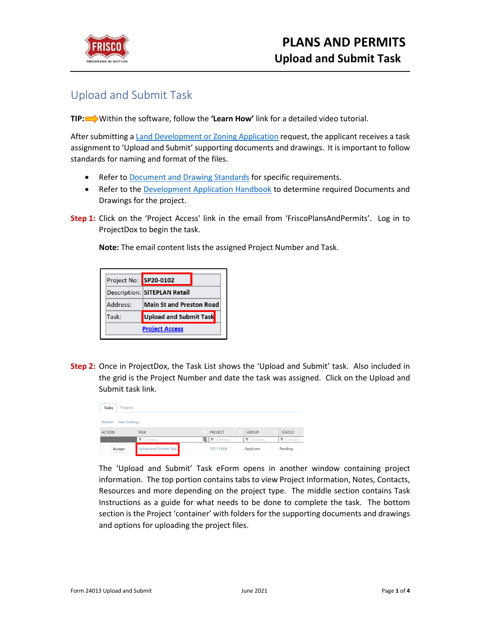

## Upload and Submit Task

**TIP:** Within the software, follow the **'Learn How'** link for a detailed video tutorial.

After submitting a [Land Development or Zoning Application](https://www.friscotexas.gov/DocumentCenter/View/24020) request, the applicant receives a task assignment to 'Upload and Submit' supporting documents and drawings. It is important to follow standards for naming and format of the files.

- Refer t[o Document and Drawing Standards](https://www.friscotexas.gov/DocumentCenter/View/24015) for specific requirements.
- Refer to the [Development Application Handbook](https://www.friscotexas.gov/588) to determine required Documents and Drawings for the project.
- **Step 1:** Click on the 'Project Access' link in the email from 'FriscoPlansAndPermits'. Log in to ProjectDox to begin the task.

**Note:** The email content lists the assigned Project Number and Task.

| Project No: SP20-0102 |                                 |  |
|-----------------------|---------------------------------|--|
|                       | Description: SITEPLAN Retail    |  |
| Address:              | <b>Main St and Preston Road</b> |  |
| Task:                 | Upload and Submit Task          |  |
|                       | <b>Project Access</b>           |  |

**Step 2:** Once in ProjectDox, the Task List shows the 'Upload and Submit' task. Also included in the grid is the Project Number and date the task was assigned. Click on the Upload and Submit task link.

| <b>Tasks</b>  | Projects             |                        |                                        |                   |                               |
|---------------|----------------------|------------------------|----------------------------------------|-------------------|-------------------------------|
| Refresh       | <b>Save Settings</b> |                        |                                        |                   |                               |
| <b>ACTION</b> |                      | <b>TASK</b>            | <b>PROJECT</b>                         | <b>GROUP</b>      | <b>STATUS</b>                 |
|               |                      | <i>V</i> Contains      | $\blacksquare$ $\blacksquare$ Contains | <b>V</b> Contains | $\blacktriangledown$ Contains |
|               | Accept               | Upload and Submit Task | SP21-0064                              | Applicant         | Pending                       |

The 'Upload and Submit' Task eForm opens in another window containing project information. The top portion contains tabs to view Project Information, Notes, Contacts, Resources and more depending on the project type. The middle section contains Task Instructions as a guide for what needs to be done to complete the task. The bottom section is the Project 'container' with folders for the supporting documents and drawings and options for uploading the project files.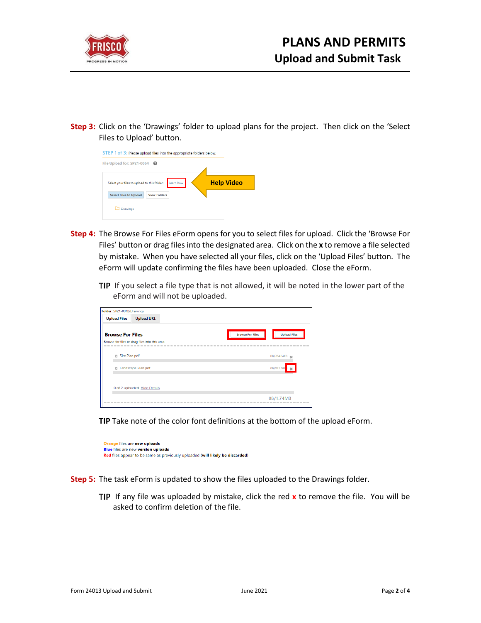

**Step 3:** Click on the 'Drawings' folder to upload plans for the project. Then click on the 'Select Files to Upload' button.

| STEP 1 of 3: Please upload files into the appropriate folders below. |           |                   |
|----------------------------------------------------------------------|-----------|-------------------|
| File Upload for: SP21-0064                                           |           |                   |
| Select your files to upload to this folder:                          | Learn how | <b>Help Video</b> |
| <b>View Folders</b><br><b>Select Files to Upload</b>                 |           |                   |
| Drawings                                                             |           |                   |

- **Step 4:** The Browse For Files eForm opens for you to select files for upload. Click the 'Browse For Files' button or drag files into the designated area. Click on the **x** to remove a file selected by mistake. When you have selected all your files, click on the 'Upload Files' button. The eForm will update confirming the files have been uploaded. Close the eForm.
	- TIP If you select a file type that is not allowed, it will be noted in the lower part of the eForm and will not be uploaded.

| Folder: SP21-0012\Drawings   |                                                                           |                     |
|------------------------------|---------------------------------------------------------------------------|---------------------|
| <b>Upload Files</b>          | <b>Upload URL</b>                                                         |                     |
| <b>Browse For Files</b>      | <b>Browse For Files</b><br>Browse for files or drag files into this area. | <b>Upload Files</b> |
| Site Plan.pdf                |                                                                           | 0B/784.64KB         |
| <b>B</b> Landscape Plan.pdf  |                                                                           | 0B/993.50K<br>×     |
| 0 of 2 uploaded Hide Details |                                                                           |                     |
|                              |                                                                           | 0B/1.74MB           |

**TIP** Take note of the color font definitions at the bottom of the upload eForm.

Orange files are new uploads Blue files are new version uploads Red files appear to be same as previously uploaded (will likely be discarded)

- **Step 5:** The task eForm is updated to show the files uploaded to the Drawings folder.
	- TIP If any file was uploaded by mistake, click the red x to remove the file. You will be asked to confirm deletion of the file.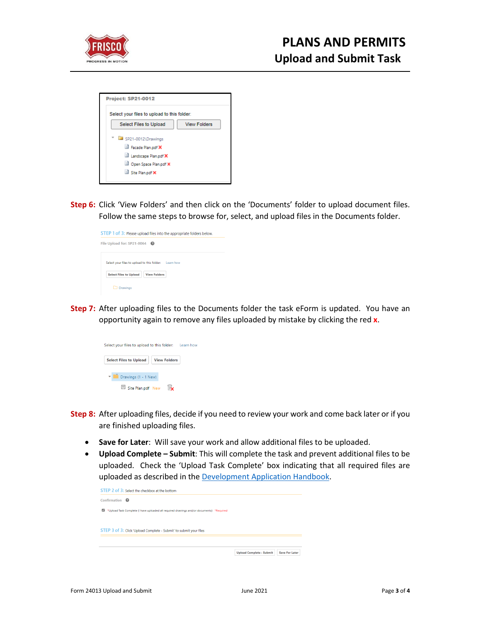

|                               | Select your files to upload to this folder: |
|-------------------------------|---------------------------------------------|
| <b>Select Files to Upload</b> | <b>View Folders</b>                         |
| SP21-0012\Drawings            |                                             |
| Facade Plan.pdf X             |                                             |
| Landscape Plan.pdf X          |                                             |
| Open Space Plan.pdf X         |                                             |
| Site Plan.pdf X               |                                             |

**Step 6:** Click 'View Folders' and then click on the 'Documents' folder to upload document files. Follow the same steps to browse for, select, and upload files in the Documents folder.



**Step 7:** After uploading files to the Documents folder the task eForm is updated. You have an opportunity again to remove any files uploaded by mistake by clicking the red **x**.



- **Step 8:** After uploading files, decide if you need to review your work and come back later or if you are finished uploading files.
	- **Save for Later**: Will save your work and allow additional files to be uploaded.
	- **Upload Complete – Submit**: This will complete the task and prevent additional files to be uploaded. Check the 'Upload Task Complete' box indicating that all required files are uploaded as described in the [Development Application Handbook.](https://www.friscotexas.gov/588)

| Confirmation $\boldsymbol{\Omega}$ |                                                                                          |  |  |
|------------------------------------|------------------------------------------------------------------------------------------|--|--|
| ◙                                  | *Upload Task Complete (I have uploaded all required drawings and/or documents) *Required |  |  |
|                                    |                                                                                          |  |  |
|                                    |                                                                                          |  |  |
|                                    | STEP 3 of 3: Click 'Upload Complete - Submit' to submit your files                       |  |  |